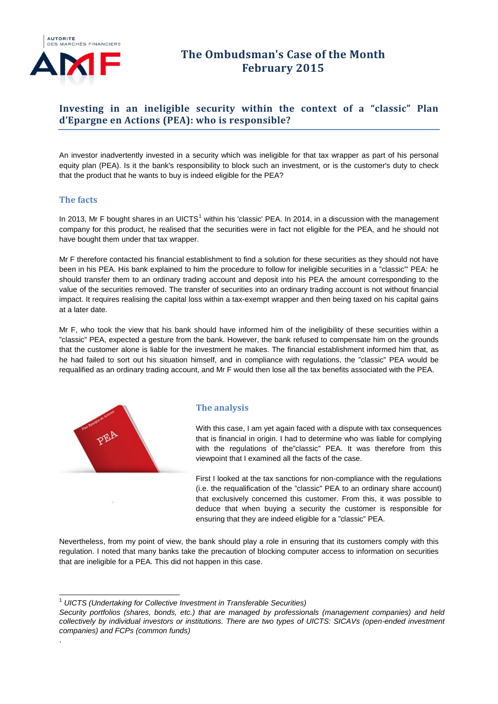

# **The Ombudsman's Case of the Month February 2015**

# **Investing in an ineligible security within the context of a "classic" Plan d'Epargne en Actions (PEA): who is responsible?**

An investor inadvertently invested in a security which was ineligible for that tax wrapper as part of his personal equity plan (PEA). Is it the bank's responsibility to block such an investment, or is the customer's duty to check that the product that he wants to buy is indeed eligible for the PEA?

### **The facts**

In 20[1](#page-0-0)3, Mr F bought shares in an UICTS<sup>1</sup> within his 'classic' PEA. In 2014, in a discussion with the management company for this product, he realised that the securities were in fact not eligible for the PEA, and he should not have bought them under that tax wrapper.

Mr F therefore contacted his financial establishment to find a solution for these securities as they should not have been in his PEA. His bank explained to him the procedure to follow for ineligible securities in a "classic"' PEA: he should transfer them to an ordinary trading account and deposit into his PEA the amount corresponding to the value of the securities removed. The transfer of securities into an ordinary trading account is not without financial impact. It requires realising the capital loss within a tax-exempt wrapper and then being taxed on his capital gains at a later date.

Mr F, who took the view that his bank should have informed him of the ineligibility of these securities within a "classic" PEA, expected a gesture from the bank. However, the bank refused to compensate him on the grounds that the customer alone is liable for the investment he makes. The financial establishment informed him that, as he had failed to sort out his situation himself, and in compliance with regulations, the "classic" PEA would be requalified as an ordinary trading account, and Mr F would then lose all the tax benefits associated with the PEA.



.

#### **The analysis**

With this case, I am yet again faced with a dispute with tax consequences that is financial in origin. I had to determine who was liable for complying with the regulations of the"classic" PEA. It was therefore from this viewpoint that I examined all the facts of the case.

First I looked at the tax sanctions for non-compliance with the regulations (i.e. the requalification of the "classic" PEA to an ordinary share account) that exclusively concerned this customer. From this, it was possible to deduce that when buying a security the customer is responsible for ensuring that they are indeed eligible for a "classic" PEA.

Nevertheless, from my point of view, the bank should play a role in ensuring that its customers comply with this regulation. I noted that many banks take the precaution of blocking computer access to information on securities that are ineligible for a PEA. This did not happen in this case.

 <sup>1</sup> *UICTS (Undertaking for Collective Investment in Transferable Securities)* 

<span id="page-0-0"></span>*Security portfolios (shares, bonds, etc.) that are managed by professionals (management companies) and held collectively by individual investors or institutions. There are two types of UICTS: SICAVs (open-ended investment companies) and FCPs (common funds)*